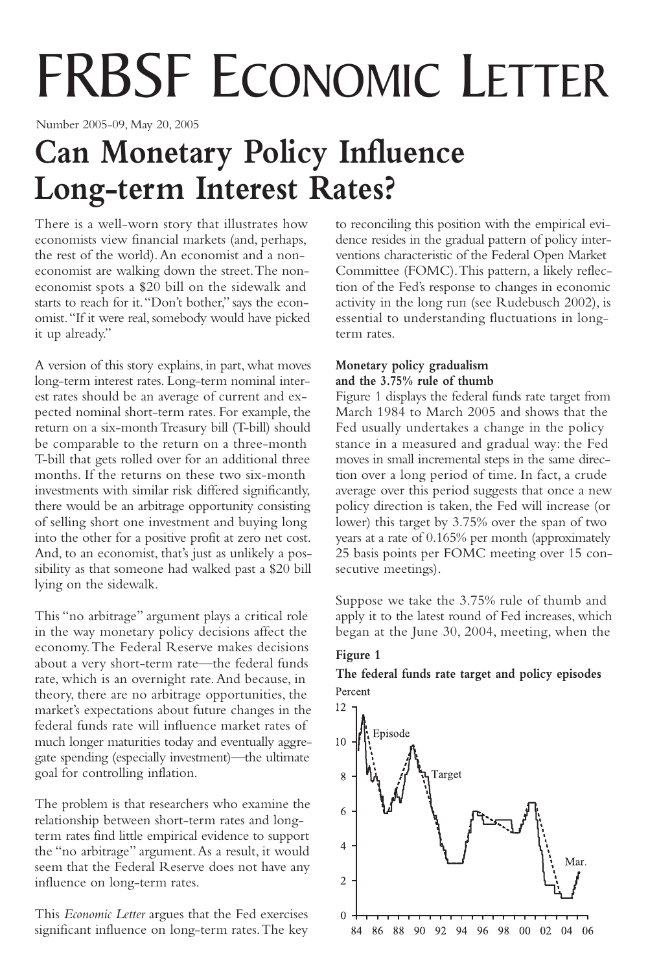# FRBSF ECONOMIC LETTER

Number 2005-09, May 20, 2005

## **Can Monetary Policy Influence Long-term Interest Rates?**

There is a well-worn story that illustrates how economists view financial markets (and, perhaps, the rest of the world).An economist and a noneconomist are walking down the street.The noneconomist spots a \$20 bill on the sidewalk and starts to reach for it."Don't bother," says the economist."If it were real, somebody would have picked it up already."

A version of this story explains, in part, what moves long-term interest rates. Long-term nominal interest rates should be an average of current and expected nominal short-term rates. For example, the return on a six-month Treasury bill (T-bill) should be comparable to the return on a three-month T-bill that gets rolled over for an additional three months. If the returns on these two six-month investments with similar risk differed significantly, there would be an arbitrage opportunity consisting of selling short one investment and buying long into the other for a positive profit at zero net cost. And, to an economist, that's just as unlikely a possibility as that someone had walked past a \$20 bill lying on the sidewalk.

This "no arbitrage" argument plays a critical role in the way monetary policy decisions affect the economy.The Federal Reserve makes decisions about a very short-term rate—the federal funds rate, which is an overnight rate.And because, in theory, there are no arbitrage opportunities, the market's expectations about future changes in the federal funds rate will influence market rates of much longer maturities today and eventually aggregate spending (especially investment)—the ultimate goal for controlling inflation.

The problem is that researchers who examine the relationship between short-term rates and longterm rates find little empirical evidence to support the "no arbitrage" argument.As a result, it would seem that the Federal Reserve does not have any influence on long-term rates.

This *Economic Letter* argues that the Fed exercises significant influence on long-term rates.The key to reconciling this position with the empirical evidence resides in the gradual pattern of policy interventions characteristic of the Federal Open Market Committee (FOMC).This pattern, a likely reflection of the Fed's response to changes in economic activity in the long run (see Rudebusch 2002), is essential to understanding fluctuations in longterm rates.

#### **Monetary policy gradualism and the 3.75% rule of thumb**

Figure 1 displays the federal funds rate target from March 1984 to March 2005 and shows that the Fed usually undertakes a change in the policy stance in a measured and gradual way: the Fed moves in small incremental steps in the same direction over a long period of time. In fact, a crude average over this period suggests that once a new policy direction is taken, the Fed will increase (or lower) this target by 3.75% over the span of two years at a rate of 0.165% per month (approximately 25 basis points per FOMC meeting over 15 consecutive meetings).

Suppose we take the 3.75% rule of thumb and apply it to the latest round of Fed increases, which began at the June 30, 2004, meeting, when the



### **The federal funds rate target and policy episodes**Percent

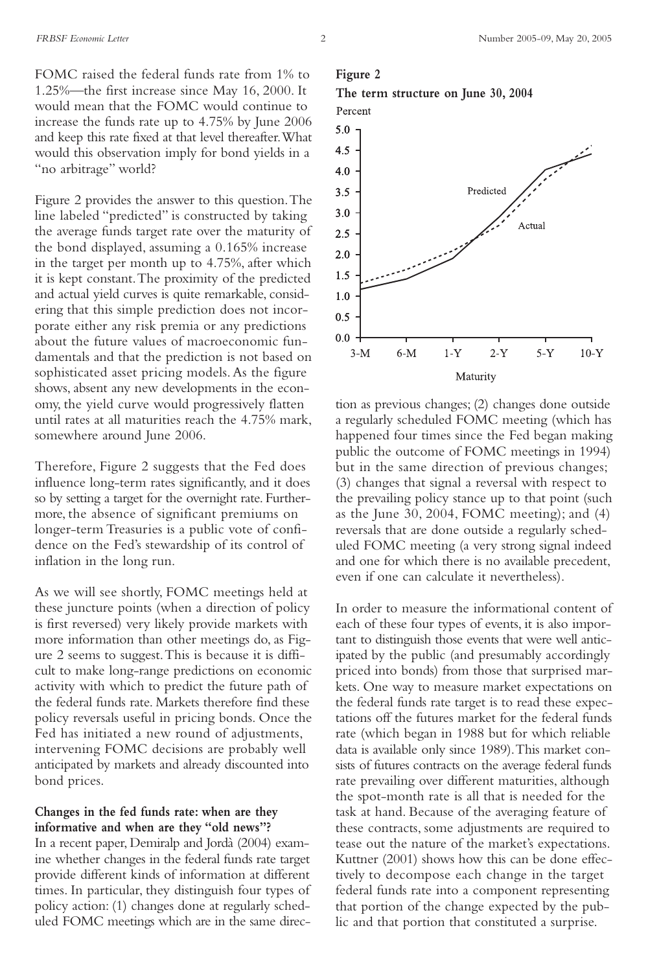FOMC raised the federal funds rate from 1% to 1.25%—the first increase since May 16, 2000. It would mean that the FOMC would continue to increase the funds rate up to 4.75% by June 2006 and keep this rate fixed at that level thereafter.What would this observation imply for bond yields in a "no arbitrage" world?

Figure 2 provides the answer to this question.The line labeled "predicted" is constructed by taking the average funds target rate over the maturity of the bond displayed, assuming a 0.165% increase in the target per month up to 4.75%, after which it is kept constant.The proximity of the predicted and actual yield curves is quite remarkable, considering that this simple prediction does not incorporate either any risk premia or any predictions about the future values of macroeconomic fundamentals and that the prediction is not based on sophisticated asset pricing models. As the figure shows, absent any new developments in the economy, the yield curve would progressively flatten until rates at all maturities reach the 4.75% mark, somewhere around June 2006.

Therefore, Figure 2 suggests that the Fed does influence long-term rates significantly, and it does so by setting a target for the overnight rate. Furthermore, the absence of significant premiums on longer-term Treasuries is a public vote of confidence on the Fed's stewardship of its control of inflation in the long run.

As we will see shortly, FOMC meetings held at these juncture points (when a direction of policy is first reversed) very likely provide markets with more information than other meetings do, as Figure 2 seems to suggest.This is because it is difficult to make long-range predictions on economic activity with which to predict the future path of the federal funds rate. Markets therefore find these policy reversals useful in pricing bonds. Once the Fed has initiated a new round of adjustments, intervening FOMC decisions are probably well anticipated by markets and already discounted into bond prices.

#### **Changes in the fed funds rate: when are they informative and when are they "old news"?**

In a recent paper, Demiralp and Jordà (2004) examine whether changes in the federal funds rate target provide different kinds of information at different times. In particular, they distinguish four types of policy action: (1) changes done at regularly scheduled FOMC meetings which are in the same direc-

#### **Figure 2**





tion as previous changes; (2) changes done outside a regularly scheduled FOMC meeting (which has happened four times since the Fed began making public the outcome of FOMC meetings in 1994) but in the same direction of previous changes; (3) changes that signal a reversal with respect to the prevailing policy stance up to that point (such as the June 30, 2004, FOMC meeting); and (4) reversals that are done outside a regularly scheduled FOMC meeting (a very strong signal indeed and one for which there is no available precedent, even if one can calculate it nevertheless).

In order to measure the informational content of each of these four types of events, it is also important to distinguish those events that were well anticipated by the public (and presumably accordingly priced into bonds) from those that surprised markets. One way to measure market expectations on the federal funds rate target is to read these expectations off the futures market for the federal funds rate (which began in 1988 but for which reliable data is available only since 1989).This market consists of futures contracts on the average federal funds rate prevailing over different maturities, although the spot-month rate is all that is needed for the task at hand. Because of the averaging feature of these contracts, some adjustments are required to tease out the nature of the market's expectations. Kuttner (2001) shows how this can be done effectively to decompose each change in the target federal funds rate into a component representing that portion of the change expected by the public and that portion that constituted a surprise.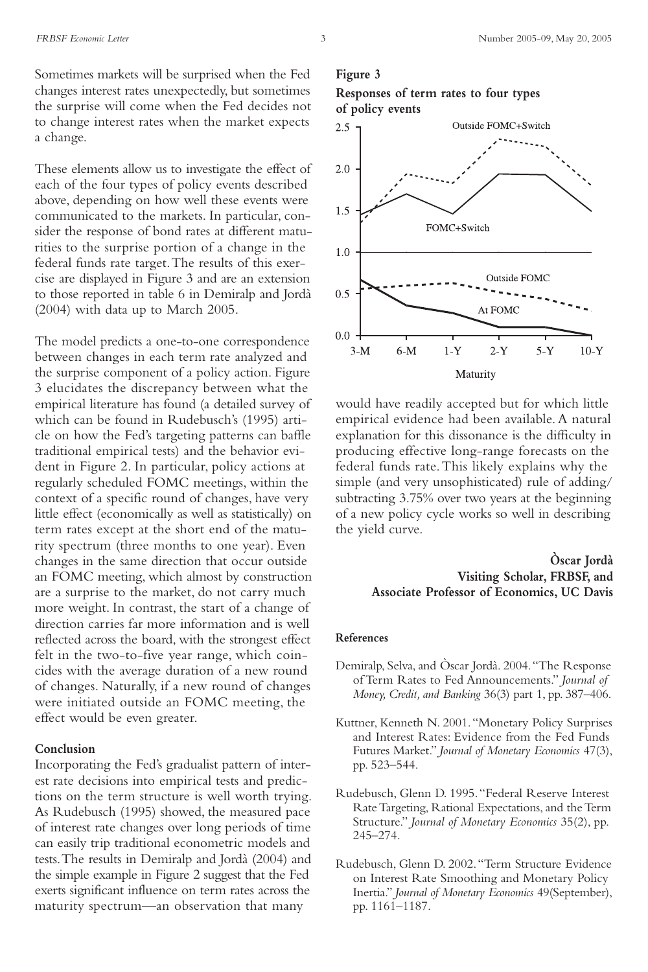These elements allow us to investigate the effect of each of the four types of policy events described above, depending on how well these events were communicated to the markets. In particular, consider the response of bond rates at different maturities to the surprise portion of a change in the federal funds rate target.The results of this exercise are displayed in Figure 3 and are an extension to those reported in table 6 in Demiralp and Jordà (2004) with data up to March 2005.

The model predicts a one-to-one correspondence between changes in each term rate analyzed and the surprise component of a policy action. Figure 3 elucidates the discrepancy between what the empirical literature has found (a detailed survey of which can be found in Rudebusch's (1995) article on how the Fed's targeting patterns can baffle traditional empirical tests) and the behavior evident in Figure 2. In particular, policy actions at regularly scheduled FOMC meetings, within the context of a specific round of changes, have very little effect (economically as well as statistically) on term rates except at the short end of the maturity spectrum (three months to one year). Even changes in the same direction that occur outside an FOMC meeting, which almost by construction are a surprise to the market, do not carry much more weight. In contrast, the start of a change of direction carries far more information and is well reflected across the board, with the strongest effect felt in the two-to-five year range, which coincides with the average duration of a new round of changes. Naturally, if a new round of changes were initiated outside an FOMC meeting, the effect would be even greater.

#### **Conclusion**

Incorporating the Fed's gradualist pattern of interest rate decisions into empirical tests and predictions on the term structure is well worth trying. As Rudebusch (1995) showed, the measured pace of interest rate changes over long periods of time can easily trip traditional econometric models and tests.The results in Demiralp and Jordà (2004) and the simple example in Figure 2 suggest that the Fed exerts significant influence on term rates across the maturity spectrum—an observation that many

#### **Figure 3**





would have readily accepted but for which little empirical evidence had been available. A natural explanation for this dissonance is the difficulty in producing effective long-range forecasts on the federal funds rate.This likely explains why the simple (and very unsophisticated) rule of adding/ subtracting 3.75% over two years at the beginning of a new policy cycle works so well in describing the yield curve.

#### **Òscar Jordà Visiting Scholar, FRBSF, and Associate Professor of Economics, UC Davis**

#### **References**

- Demiralp, Selva, and Òscar Jordà. 2004."The Response of Term Rates to Fed Announcements." *Journal of Money, Credit, and Banking* 36(3) part 1, pp. 387–406.
- Kuttner, Kenneth N. 2001."Monetary Policy Surprises and Interest Rates: Evidence from the Fed Funds Futures Market." *Journal of Monetary Economics* 47(3), pp. 523–544.
- Rudebusch, Glenn D. 1995."Federal Reserve Interest Rate Targeting, Rational Expectations, and the Term Structure." *Journal of Monetary Economics* 35(2), pp. 245–274.
- Rudebusch, Glenn D. 2002."Term Structure Evidence on Interest Rate Smoothing and Monetary Policy Inertia." *Journal of Monetary Economics* 49(September), pp. 1161–1187.